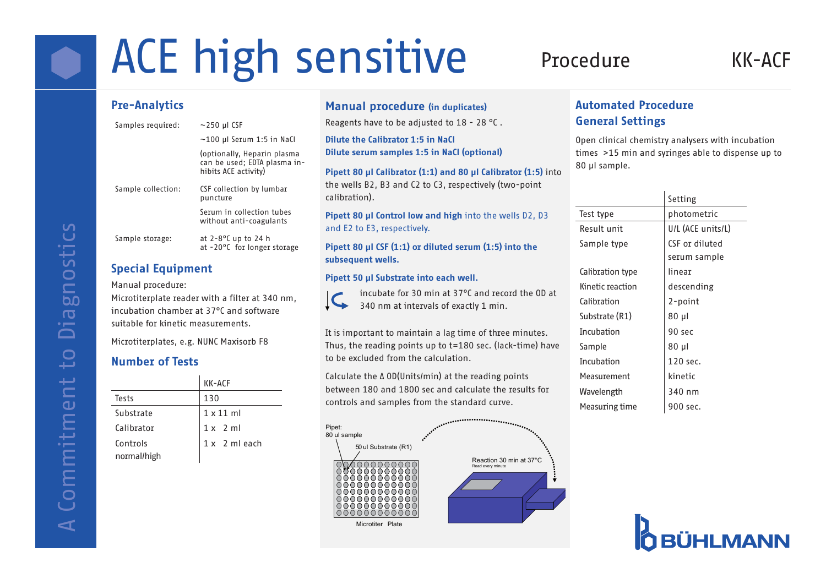# ACE high sensitive Procedure KK-ACF

## Pre-Analytics

| Samples required:  | $\sim$ 250 µl CSF                                                                   |  |
|--------------------|-------------------------------------------------------------------------------------|--|
|                    | $\sim$ 100 µl Serum 1:5 in NaCl                                                     |  |
|                    | (optionally, Heparin plasma<br>can be used; EDTA plasma in-<br>hibits ACE activity) |  |
| Sample collection: | CSF collection by lumbar<br>puncture                                                |  |
|                    | Serum in collection tubes<br>without anti-coagulants                                |  |
| Sample storage:    | at $2 - 8$ °C up to 24 h<br>at -20°C for longer storage                             |  |

## Special Equipment

Manual procedure:

Microtiterplate reader with a filter at 340 nm, incubation chamber at 37°C and software suitable for kinetic measurements.

Microtiterplates, e.g. NUNC Maxisorb F8

## Number of Tests

|                         | KK-ACF           |
|-------------------------|------------------|
| Tests                   | 130              |
| Substrate               | $1 \times 11$ ml |
| Calibrator              | $1x$ 2 ml        |
| Controls<br>normal/high | 1 x 2 ml each    |

## Manual procedure (in duplicates)

Reagents have to be adjusted to 18 - 28 °C .

Dilute the Calibrator 1:5 in NaCl Dilute serum samples 1:5 in NaCl (optional)

Pipett 80 µl Calibrator (1:1) and 80 µl Calibrator (1:5) into the wells B2, B3 and C2 to C3, respectively (two-point calibration).

Pipett 80 µl Control low and high into the wells D2, D3 and E2 to E3, respectively.

Pipett 80  $\mu$ I CSF (1:1) or diluted serum (1:5) into the subsequent wells.

## Pipett 50 µl Substrate into each well.



incubate for 30 min at 37°C and record the OD at 340 nm at intervals of exactly 1 min.

It is important to maintain a lag time of three minutes. Thus, the reading points up to t=180 sec. (lack-time) have to be excluded from the calculation.

Calculate the Δ OD(Units/min) at the reading points between 180 and 1800 sec and calculate the results for controls and samples from the standard curve.



## Automated Procedure General Settings

Open clinical chemistry analysers with incubation times >15 min and syringes able to dispense up to 80 µl sample.

|                  | Setting           |
|------------------|-------------------|
| Test type        | photometric       |
| Result unit      | U/L (ACE units/L) |
| Sample type      | CSF or diluted    |
|                  | serum sample      |
| Calibration type | linear            |
| Kinetic reaction | descending        |
| Calibration      | 2-point           |
| Substrate (R1)   | $80 \mu$          |
| Incubation       | 90 sec            |
| Sample           | $80 \mu$          |
| Incubation       | 120 sec.          |
| Measurement      | kinetic           |
| Wavelength       | 340 nm            |
| Measuring time   | 900 sec.          |
|                  |                   |